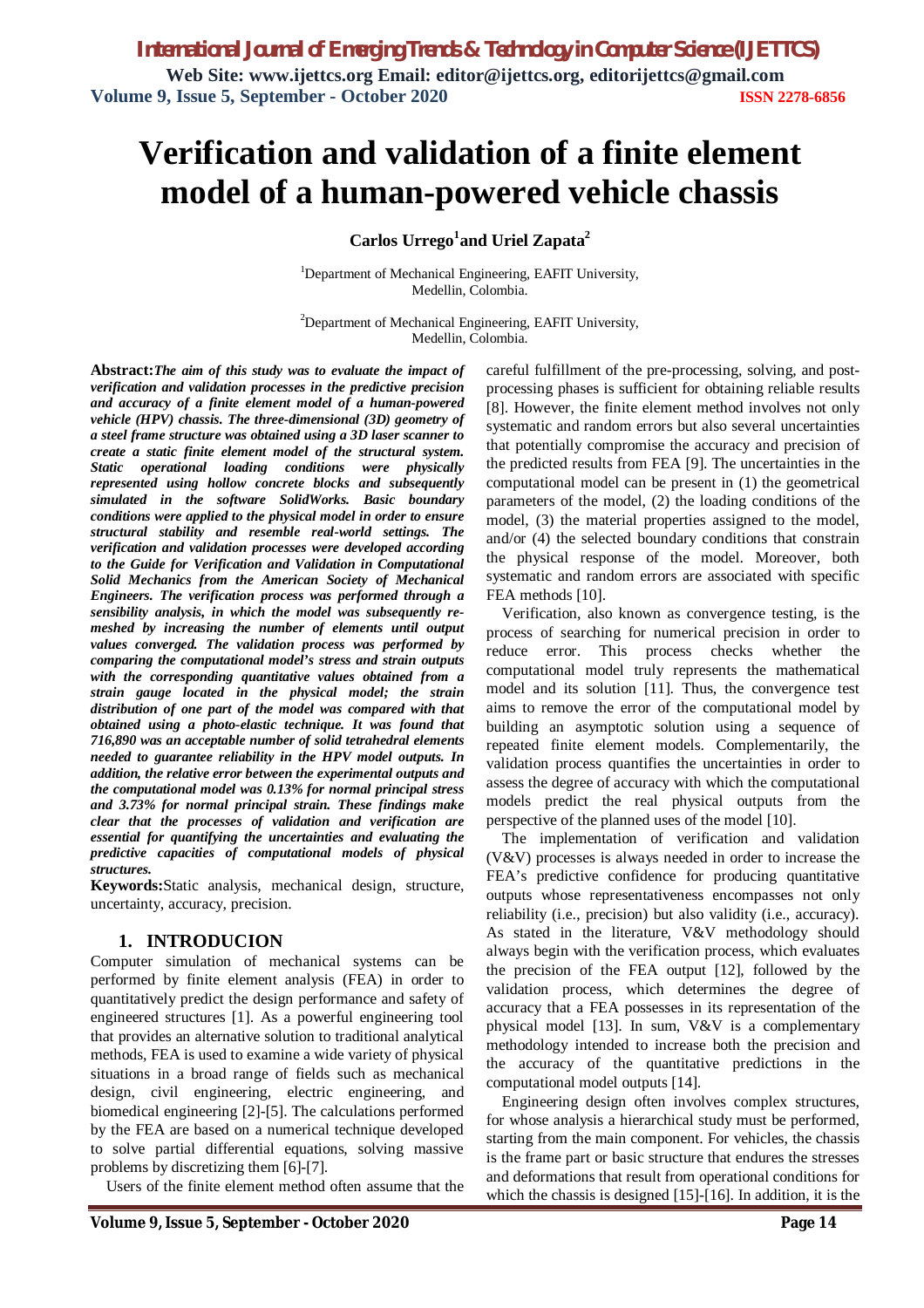# **Verification and validation of a finite element model of a human-powered vehicle chassis**

### **Carlos Urrego<sup>1</sup> and Uriel Zapata<sup>2</sup>**

<sup>1</sup>Department of Mechanical Engineering, EAFIT University, Medellin, Colombia.

 $2$ Department of Mechanical Engineering, EAFIT University, Medellin, Colombia.

**Abstract:***The aim of this study was to evaluate the impact of verification and validation processes in the predictive precision and accuracy of a finite element model of a human-powered vehicle (HPV) chassis. The three-dimensional (3D) geometry of a steel frame structure was obtained using a 3D laser scanner to create a static finite element model of the structural system. Static operational loading conditions were physically represented using hollow concrete blocks and subsequently simulated in the software SolidWorks. Basic boundary conditions were applied to the physical model in order to ensure structural stability and resemble real-world settings. The verification and validation processes were developed according to the Guide for Verification and Validation in Computational Solid Mechanics from the American Society of Mechanical Engineers. The verification process was performed through a sensibility analysis, in which the model was subsequently remeshed by increasing the number of elements until output values converged. The validation process was performed by comparing the computational model's stress and strain outputs with the corresponding quantitative values obtained from a strain gauge located in the physical model; the strain distribution of one part of the model was compared with that obtained using a photo-elastic technique. It was found that 716,890 was an acceptable number of solid tetrahedral elements needed to guarantee reliability in the HPV model outputs. In addition, the relative error between the experimental outputs and the computational model was 0.13% for normal principal stress and 3.73% for normal principal strain. These findings make clear that the processes of validation and verification are essential for quantifying the uncertainties and evaluating the predictive capacities of computational models of physical structures.*

**Keywords:**Static analysis, mechanical design, structure, uncertainty, accuracy, precision.

### **1. INTRODUCION**

Computer simulation of mechanical systems can be performed by finite element analysis (FEA) in order to quantitatively predict the design performance and safety of engineered structures [1]. As a powerful engineering tool that provides an alternative solution to traditional analytical methods, FEA is used to examine a wide variety of physical situations in a broad range of fields such as mechanical design, civil engineering, electric engineering, and biomedical engineering [2]-[5]. The calculations performed by the FEA are based on a numerical technique developed to solve partial differential equations, solving massive problems by discretizing them [6]-[7].

Users of the finite element method often assume that the

careful fulfillment of the pre-processing, solving, and postprocessing phases is sufficient for obtaining reliable results [8]. However, the finite element method involves not only systematic and random errors but also several uncertainties that potentially compromise the accuracy and precision of the predicted results from FEA [9]. The uncertainties in the computational model can be present in (1) the geometrical parameters of the model, (2) the loading conditions of the model, (3) the material properties assigned to the model, and/or (4) the selected boundary conditions that constrain the physical response of the model. Moreover, both systematic and random errors are associated with specific FEA methods [10].

Verification, also known as convergence testing, is the process of searching for numerical precision in order to reduce error. This process checks whether the computational model truly represents the mathematical model and its solution [11]. Thus, the convergence test aims to remove the error of the computational model by building an asymptotic solution using a sequence of repeated finite element models. Complementarily, the validation process quantifies the uncertainties in order to assess the degree of accuracy with which the computational models predict the real physical outputs from the perspective of the planned uses of the model [10].

The implementation of verification and validation (V&V) processes is always needed in order to increase the FEA's predictive confidence for producing quantitative outputs whose representativeness encompasses not only reliability (i.e., precision) but also validity (i.e., accuracy). As stated in the literature, V&V methodology should always begin with the verification process, which evaluates the precision of the FEA output [12], followed by the validation process, which determines the degree of accuracy that a FEA possesses in its representation of the physical model [13]. In sum, V&V is a complementary methodology intended to increase both the precision and the accuracy of the quantitative predictions in the computational model outputs [14].

Engineering design often involves complex structures, for whose analysis a hierarchical study must be performed, starting from the main component. For vehicles, the chassis is the frame part or basic structure that endures the stresses and deformations that result from operational conditions for which the chassis is designed [15]-[16]. In addition, it is the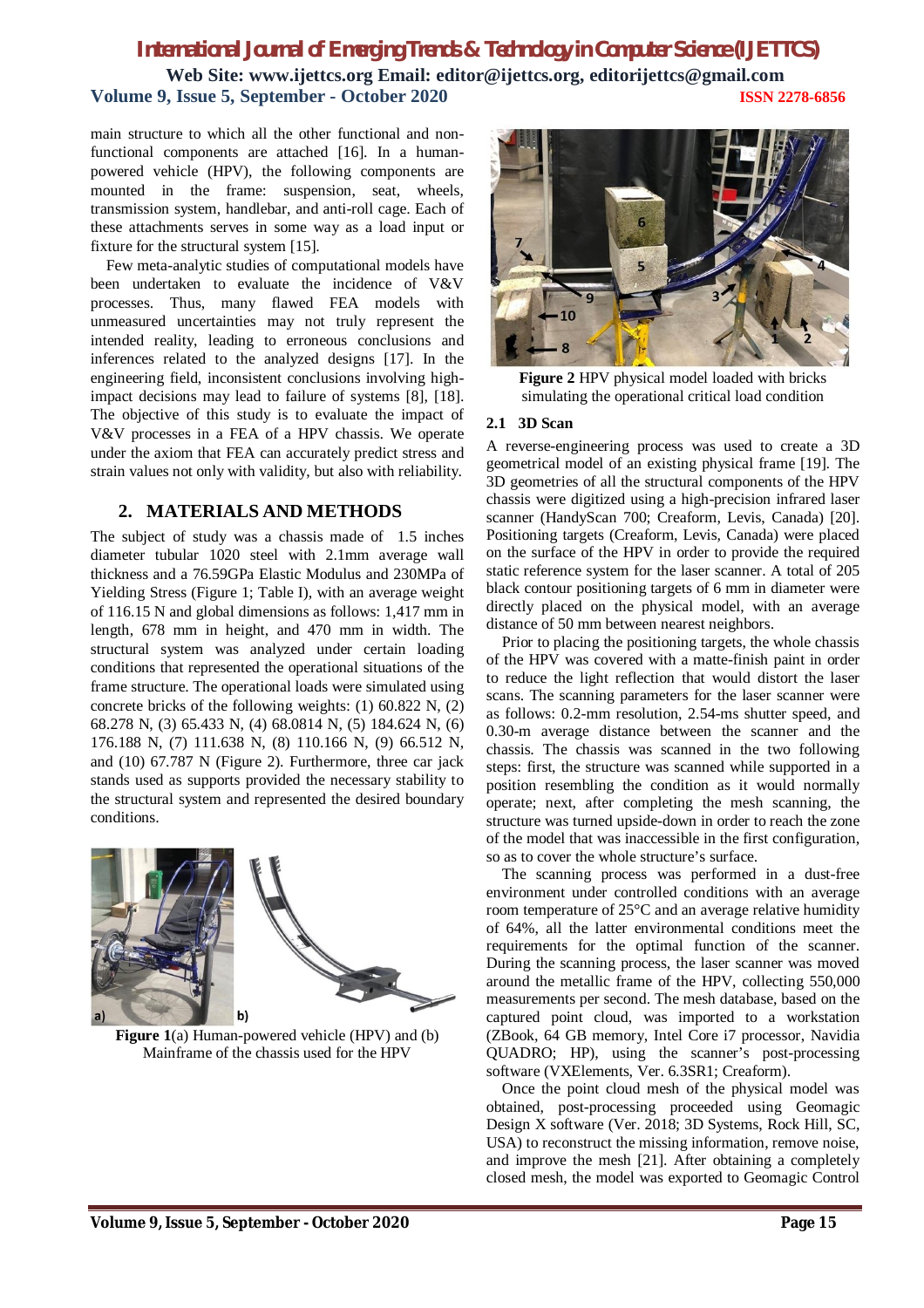main structure to which all the other functional and nonfunctional components are attached [16]. In a humanpowered vehicle (HPV), the following components are mounted in the frame: suspension, seat, wheels, transmission system, handlebar, and anti-roll cage. Each of these attachments serves in some way as a load input or fixture for the structural system [15].

Few meta-analytic studies of computational models have been undertaken to evaluate the incidence of V&V processes. Thus, many flawed FEA models with unmeasured uncertainties may not truly represent the intended reality, leading to erroneous conclusions and inferences related to the analyzed designs [17]. In the engineering field, inconsistent conclusions involving highimpact decisions may lead to failure of systems [8], [18]. The objective of this study is to evaluate the impact of V&V processes in a FEA of a HPV chassis. We operate under the axiom that FEA can accurately predict stress and strain values not only with validity, but also with reliability.

# **2. MATERIALS AND METHODS**

The subject of study was a chassis made of 1.5 inches diameter tubular 1020 steel with 2.1mm average wall thickness and a 76.59GPa Elastic Modulus and 230MPa of Yielding Stress (Figure 1; Table I), with an average weight of 116.15 N and global dimensions as follows: 1,417 mm in length, 678 mm in height, and 470 mm in width. The structural system was analyzed under certain loading conditions that represented the operational situations of the frame structure. The operational loads were simulated using concrete bricks of the following weights: (1) 60.822 N, (2) 68.278 N, (3) 65.433 N, (4) 68.0814 N, (5) 184.624 N, (6) 176.188 N, (7) 111.638 N, (8) 110.166 N, (9) 66.512 N, and (10) 67.787 N (Figure 2). Furthermore, three car jack stands used as supports provided the necessary stability to the structural system and represented the desired boundary conditions.



**Figure 1**(a) Human-powered vehicle (HPV) and (b) Mainframe of the chassis used for the HPV



**Figure 2** HPV physical model loaded with bricks simulating the operational critical load condition

### **2.1 3D Scan**

A reverse-engineering process was used to create a 3D geometrical model of an existing physical frame [19]. The 3D geometries of all the structural components of the HPV chassis were digitized using a high-precision infrared laser scanner (HandyScan 700; Creaform, Levis, Canada) [20]. Positioning targets (Creaform, Levis, Canada) were placed on the surface of the HPV in order to provide the required static reference system for the laser scanner. A total of 205 black contour positioning targets of 6 mm in diameter were directly placed on the physical model, with an average distance of 50 mm between nearest neighbors.

Prior to placing the positioning targets, the whole chassis of the HPV was covered with a matte-finish paint in order to reduce the light reflection that would distort the laser scans. The scanning parameters for the laser scanner were as follows: 0.2-mm resolution, 2.54-ms shutter speed, and 0.30-m average distance between the scanner and the chassis. The chassis was scanned in the two following steps: first, the structure was scanned while supported in a position resembling the condition as it would normally operate; next, after completing the mesh scanning, the structure was turned upside-down in order to reach the zone of the model that was inaccessible in the first configuration, so as to cover the whole structure's surface.

The scanning process was performed in a dust-free environment under controlled conditions with an average room temperature of 25°C and an average relative humidity of 64%, all the latter environmental conditions meet the requirements for the optimal function of the scanner. During the scanning process, the laser scanner was moved around the metallic frame of the HPV, collecting 550,000 measurements per second. The mesh database, based on the captured point cloud, was imported to a workstation (ZBook, 64 GB memory, Intel Core i7 processor, Navidia QUADRO; HP), using the scanner's post-processing software (VXElements, Ver. 6.3SR1; Creaform).

Once the point cloud mesh of the physical model was obtained, post-processing proceeded using Geomagic Design X software (Ver. 2018; 3D Systems, Rock Hill, SC, USA) to reconstruct the missing information, remove noise, and improve the mesh [21]. After obtaining a completely closed mesh, the model was exported to Geomagic Control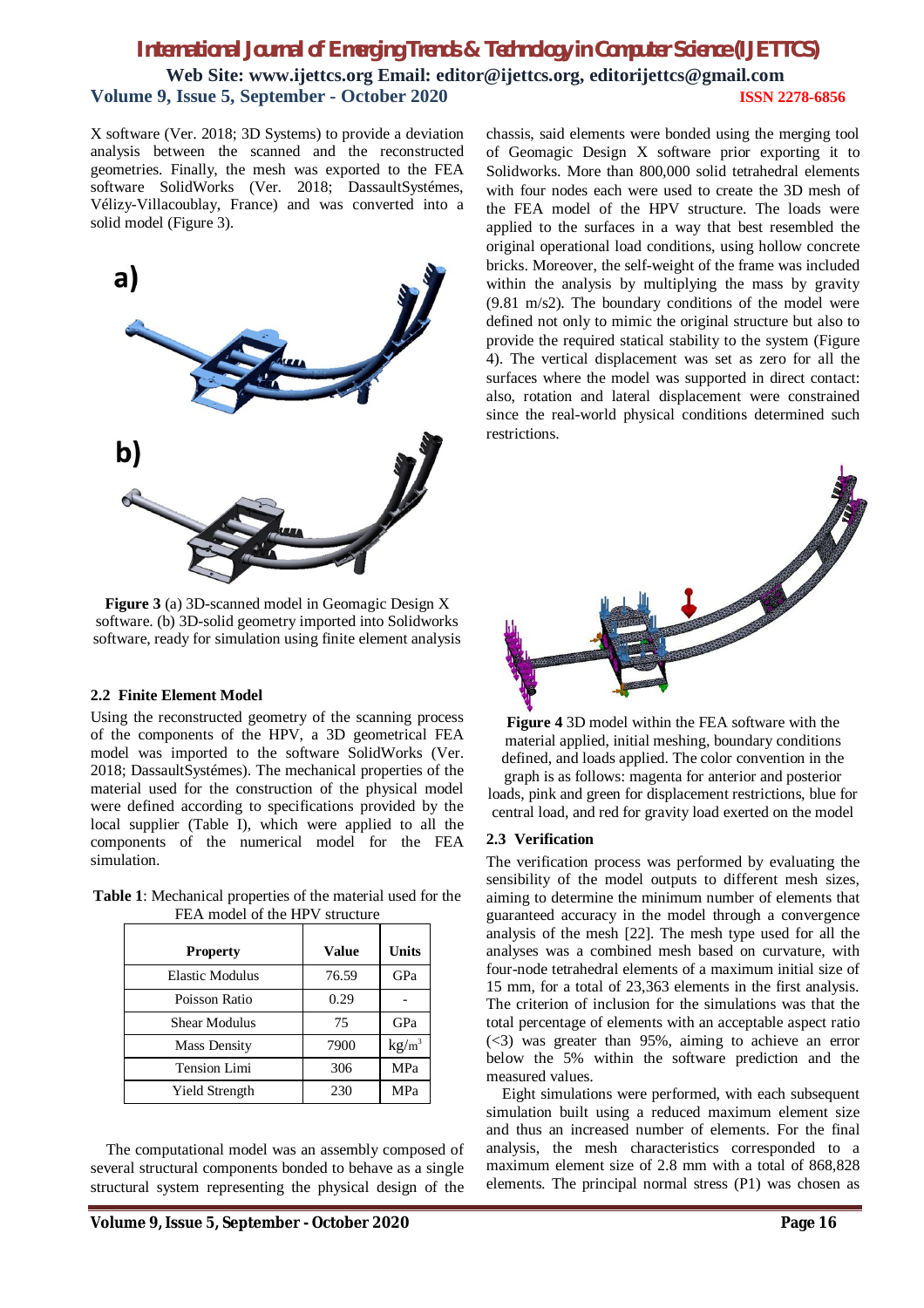X software (Ver. 2018; 3D Systems) to provide a deviation analysis between the scanned and the reconstructed geometries. Finally, the mesh was exported to the FEA software SolidWorks (Ver. 2018; DassaultSystémes, Vélizy-Villacoublay, France) and was converted into a solid model (Figure 3).



**Figure 3** (a) 3D-scanned model in Geomagic Design X software. (b) 3D-solid geometry imported into Solidworks software, ready for simulation using finite element analysis

### **2.2 Finite Element Model**

Using the reconstructed geometry of the scanning process of the components of the HPV, a 3D geometrical FEA model was imported to the software SolidWorks (Ver. 2018; DassaultSystémes). The mechanical properties of the material used for the construction of the physical model were defined according to specifications provided by the local supplier (Table I), which were applied to all the components of the numerical model for the FEA simulation.

**Table 1**: Mechanical properties of the material used for the FEA model of the HPV structure

| <b>Property</b>        | Value | Units             |
|------------------------|-------|-------------------|
| <b>Elastic Modulus</b> | 76.59 | GPa               |
| Poisson Ratio          | 0.29  |                   |
| Shear Modulus          | 75    | GPa               |
| <b>Mass Density</b>    | 7900  | kg/m <sup>3</sup> |
| <b>Tension Limi</b>    | 306   | MPa               |
| <b>Yield Strength</b>  | 230   | MPa               |

The computational model was an assembly composed of several structural components bonded to behave as a single structural system representing the physical design of the

chassis, said elements were bonded using the merging tool of Geomagic Design X software prior exporting it to Solidworks. More than 800,000 solid tetrahedral elements with four nodes each were used to create the 3D mesh of the FEA model of the HPV structure. The loads were applied to the surfaces in a way that best resembled the original operational load conditions, using hollow concrete bricks. Moreover, the self-weight of the frame was included within the analysis by multiplying the mass by gravity (9.81 m/s2). The boundary conditions of the model were defined not only to mimic the original structure but also to provide the required statical stability to the system (Figure 4). The vertical displacement was set as zero for all the surfaces where the model was supported in direct contact: also, rotation and lateral displacement were constrained since the real-world physical conditions determined such restrictions.



**Figure 4** 3D model within the FEA software with the material applied, initial meshing, boundary conditions defined, and loads applied. The color convention in the graph is as follows: magenta for anterior and posterior loads, pink and green for displacement restrictions, blue for central load, and red for gravity load exerted on the model

### **2.3 Verification**

The verification process was performed by evaluating the sensibility of the model outputs to different mesh sizes, aiming to determine the minimum number of elements that guaranteed accuracy in the model through a convergence analysis of the mesh [22]. The mesh type used for all the analyses was a combined mesh based on curvature, with four-node tetrahedral elements of a maximum initial size of 15 mm, for a total of 23,363 elements in the first analysis. The criterion of inclusion for the simulations was that the total percentage of elements with an acceptable aspect ratio (<3) was greater than 95%, aiming to achieve an error below the 5% within the software prediction and the measured values.

Eight simulations were performed, with each subsequent simulation built using a reduced maximum element size and thus an increased number of elements. For the final analysis, the mesh characteristics corresponded to a maximum element size of 2.8 mm with a total of 868,828 elements. The principal normal stress (P1) was chosen as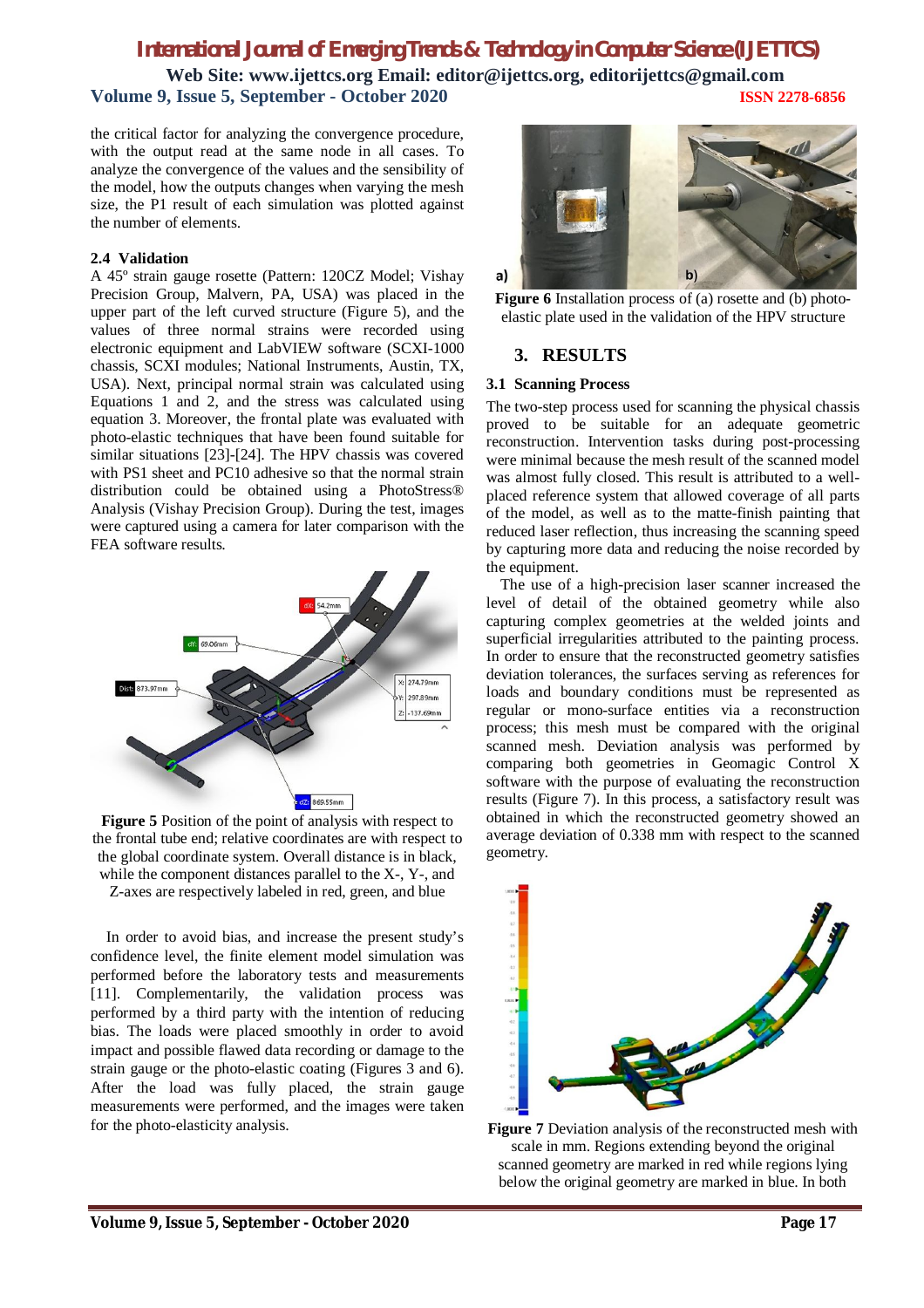# *International Journal of Emerging Trends & Technology in Computer Science (IJETTCS)*

**Web Site: www.ijettcs.org Email: editor@ijettcs.org, editorijettcs@gmail.com Volume 9, Issue 5, September - October 2020 ISSN 2278-6856**

the critical factor for analyzing the convergence procedure, with the output read at the same node in all cases. To analyze the convergence of the values and the sensibility of the model, how the outputs changes when varying the mesh size, the P1 result of each simulation was plotted against the number of elements.

#### **2.4 Validation**

A 45º strain gauge rosette (Pattern: 120CZ Model; Vishay Precision Group, Malvern, PA, USA) was placed in the upper part of the left curved structure (Figure 5), and the values of three normal strains were recorded using electronic equipment and LabVIEW software (SCXI-1000 chassis, SCXI modules; National Instruments, Austin, TX, USA). Next, principal normal strain was calculated using Equations 1 and 2, and the stress was calculated using equation 3. Moreover, the frontal plate was evaluated with photo-elastic techniques that have been found suitable for similar situations [23]-[24]. The HPV chassis was covered with PS1 sheet and PC10 adhesive so that the normal strain distribution could be obtained using a PhotoStress® Analysis (Vishay Precision Group). During the test, images were captured using a camera for later comparison with the FEA software results.



**Figure 5** Position of the point of analysis with respect to the frontal tube end; relative coordinates are with respect to the global coordinate system. Overall distance is in black, while the component distances parallel to the X-, Y-, and Z-axes are respectively labeled in red, green, and blue

In order to avoid bias, and increase the present study's confidence level, the finite element model simulation was performed before the laboratory tests and measurements [11]. Complementarily, the validation process was performed by a third party with the intention of reducing bias. The loads were placed smoothly in order to avoid impact and possible flawed data recording or damage to the strain gauge or the photo-elastic coating (Figures 3 and 6). After the load was fully placed, the strain gauge measurements were performed, and the images were taken for the photo-elasticity analysis.





### **3. RESULTS**

#### **3.1 Scanning Process**

The two-step process used for scanning the physical chassis proved to be suitable for an adequate geometric reconstruction. Intervention tasks during post-processing were minimal because the mesh result of the scanned model was almost fully closed. This result is attributed to a wellplaced reference system that allowed coverage of all parts of the model, as well as to the matte-finish painting that reduced laser reflection, thus increasing the scanning speed by capturing more data and reducing the noise recorded by the equipment.

The use of a high-precision laser scanner increased the level of detail of the obtained geometry while also capturing complex geometries at the welded joints and superficial irregularities attributed to the painting process. In order to ensure that the reconstructed geometry satisfies deviation tolerances, the surfaces serving as references for loads and boundary conditions must be represented as regular or mono-surface entities via a reconstruction process; this mesh must be compared with the original scanned mesh. Deviation analysis was performed by comparing both geometries in Geomagic Control X software with the purpose of evaluating the reconstruction results (Figure 7). In this process, a satisfactory result was obtained in which the reconstructed geometry showed an average deviation of 0.338 mm with respect to the scanned geometry.



**Figure 7** Deviation analysis of the reconstructed mesh with scale in mm. Regions extending beyond the original scanned geometry are marked in red while regions lying below the original geometry are marked in blue. In both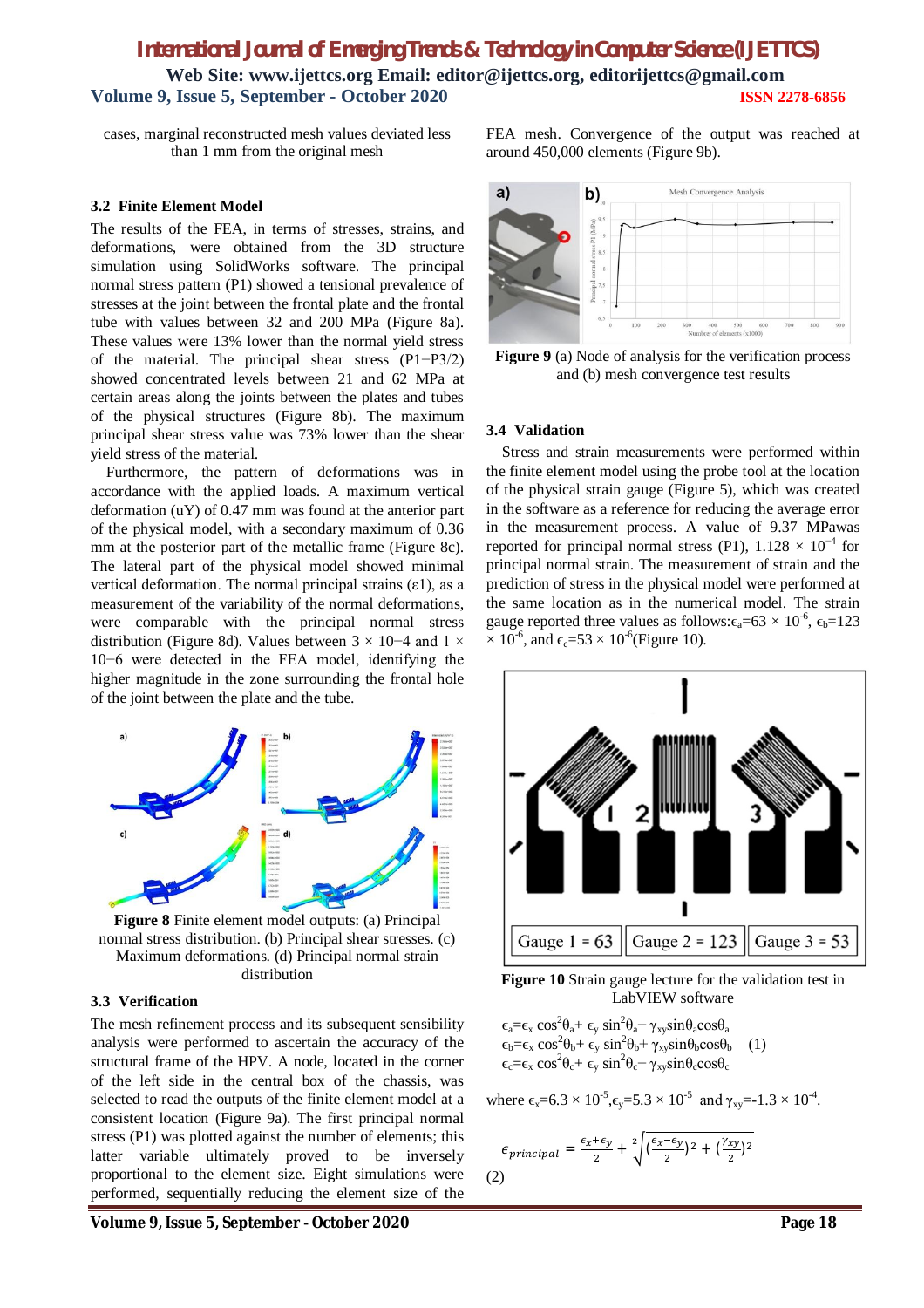cases, marginal reconstructed mesh values deviated less than 1 mm from the original mesh

#### **3.2 Finite Element Model**

The results of the FEA, in terms of stresses, strains, and deformations, were obtained from the 3D structure simulation using SolidWorks software. The principal normal stress pattern (P1) showed a tensional prevalence of stresses at the joint between the frontal plate and the frontal tube with values between 32 and 200 MPa (Figure 8a). These values were 13% lower than the normal yield stress of the material. The principal shear stress (P1−P3/2) showed concentrated levels between 21 and 62 MPa at certain areas along the joints between the plates and tubes of the physical structures (Figure 8b). The maximum principal shear stress value was 73% lower than the shear yield stress of the material.

Furthermore, the pattern of deformations was in accordance with the applied loads. A maximum vertical deformation (uY) of 0.47 mm was found at the anterior part of the physical model, with a secondary maximum of 0.36 mm at the posterior part of the metallic frame (Figure 8c). The lateral part of the physical model showed minimal vertical deformation. The normal principal strains  $(\varepsilon_1)$ , as a measurement of the variability of the normal deformations, were comparable with the principal normal stress distribution (Figure 8d). Values between  $3 \times 10$ −4 and  $1 \times$ 10−6 were detected in the FEA model, identifying the higher magnitude in the zone surrounding the frontal hole of the joint between the plate and the tube.



**Figure 8** Finite element model outputs: (a) Principal normal stress distribution. (b) Principal shear stresses. (c) Maximum deformations. (d) Principal normal strain distribution

#### **3.3 Verification**

The mesh refinement process and its subsequent sensibility analysis were performed to ascertain the accuracy of the structural frame of the HPV. A node, located in the corner of the left side in the central box of the chassis, was selected to read the outputs of the finite element model at a consistent location (Figure 9a). The first principal normal stress (P1) was plotted against the number of elements; this latter variable ultimately proved to be inversely proportional to the element size. Eight simulations were performed, sequentially reducing the element size of the

**Volume 9, Issue 5, September - October 2020 Page 18**

FEA mesh. Convergence of the output was reached at around 450,000 elements (Figure 9b).



**Figure 9** (a) Node of analysis for the verification process and (b) mesh convergence test results

#### **3.4 Validation**

Stress and strain measurements were performed within the finite element model using the probe tool at the location of the physical strain gauge (Figure 5), which was created in the software as a reference for reducing the average error in the measurement process. A value of 9.37 MPawas reported for principal normal stress (P1),  $1.128 \times 10^{-4}$  for principal normal strain. The measurement of strain and the prediction of stress in the physical model were performed at the same location as in the numerical model. The strain gauge reported three values as follows: $\epsilon_{a} = 63 \times 10^{-6}$ ,  $\epsilon_{b} = 123$  $\times$  10<sup>-6</sup>, and  $\epsilon_c$ =53  $\times$  10<sup>-6</sup>(Figure 10).



**Figure 10** Strain gauge lecture for the validation test in LabVIEW software

 $\epsilon_{a} = \epsilon_{x} \cos^{2} \theta_{a} + \epsilon_{y} \sin^{2} \theta_{a} + \gamma_{xy} \sin \theta_{a} \cos \theta_{a}$  $\epsilon_b = \epsilon_x \cos^2 \theta_b + \epsilon_y \sin^2 \theta_b + \gamma_{xy} \sin \theta_b \cos \theta_b$  (1)  $\epsilon_{c} = \epsilon_{x} \cos^{2} \theta_{c} + \epsilon_{y} \sin^{2} \theta_{c} + \gamma_{xy} \sin \theta_{c} \cos \theta_{c}$ 

where  $\epsilon_x = 6.3 \times 10^{-5}$ ,  $\epsilon_y = 5.3 \times 10^{-5}$  and  $\gamma_{xy} = -1.3 \times 10^{-4}$ .

$$
\epsilon_{principal} = \frac{\epsilon_x + \epsilon_y}{2} + \sqrt[2]{(\frac{\epsilon_x - \epsilon_y}{2})^2 + (\frac{\gamma_{xy}}{2})^2}
$$
\n(2)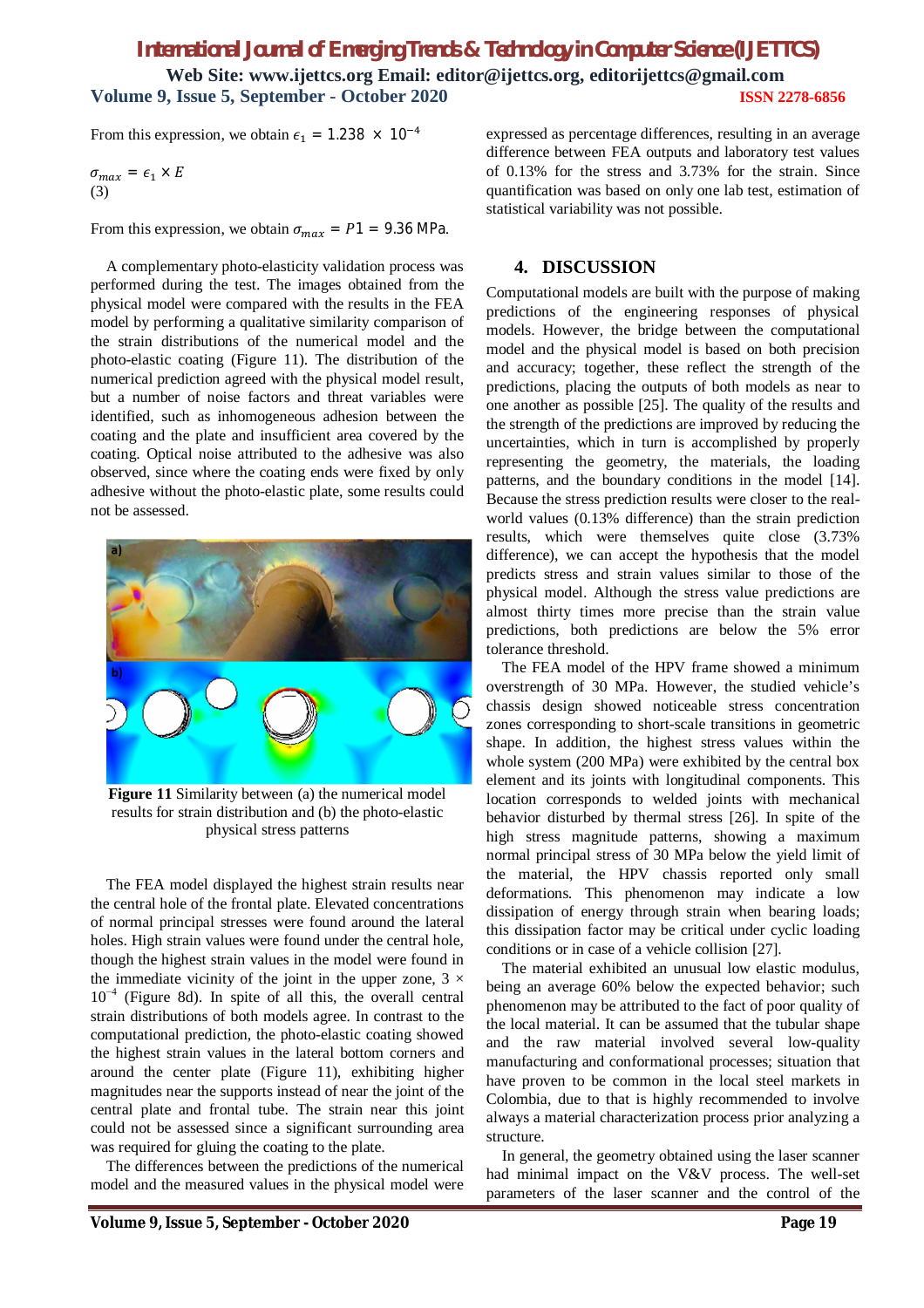From this expression, we obtain  $\epsilon_1 = 1.238 \times 10^{-4}$ 

$$
\sigma_{max} = \epsilon_1 \times E
$$
  
(3)

From this expression, we obtain  $\sigma_{max} = P1 = 9.36 \text{ MPa}$ .

A complementary photo-elasticity validation process was performed during the test. The images obtained from the physical model were compared with the results in the FEA model by performing a qualitative similarity comparison of the strain distributions of the numerical model and the photo-elastic coating (Figure 11). The distribution of the numerical prediction agreed with the physical model result, but a number of noise factors and threat variables were identified, such as inhomogeneous adhesion between the coating and the plate and insufficient area covered by the coating. Optical noise attributed to the adhesive was also observed, since where the coating ends were fixed by only adhesive without the photo-elastic plate, some results could not be assessed.



**Figure 11** Similarity between (a) the numerical model results for strain distribution and (b) the photo-elastic physical stress patterns

The FEA model displayed the highest strain results near the central hole of the frontal plate. Elevated concentrations of normal principal stresses were found around the lateral holes. High strain values were found under the central hole, though the highest strain values in the model were found in the immediate vicinity of the joint in the upper zone,  $3 \times$  $10^{-4}$  (Figure 8d). In spite of all this, the overall central strain distributions of both models agree. In contrast to the computational prediction, the photo-elastic coating showed the highest strain values in the lateral bottom corners and around the center plate (Figure 11), exhibiting higher magnitudes near the supports instead of near the joint of the central plate and frontal tube. The strain near this joint could not be assessed since a significant surrounding area was required for gluing the coating to the plate.

The differences between the predictions of the numerical model and the measured values in the physical model were

expressed as percentage differences, resulting in an average difference between FEA outputs and laboratory test values of 0.13% for the stress and 3.73% for the strain. Since quantification was based on only one lab test, estimation of statistical variability was not possible.

### **4. DISCUSSION**

Computational models are built with the purpose of making predictions of the engineering responses of physical models. However, the bridge between the computational model and the physical model is based on both precision and accuracy; together, these reflect the strength of the predictions, placing the outputs of both models as near to one another as possible [25]. The quality of the results and the strength of the predictions are improved by reducing the uncertainties, which in turn is accomplished by properly representing the geometry, the materials, the loading patterns, and the boundary conditions in the model [14]. Because the stress prediction results were closer to the realworld values (0.13% difference) than the strain prediction results, which were themselves quite close (3.73% difference), we can accept the hypothesis that the model predicts stress and strain values similar to those of the physical model. Although the stress value predictions are almost thirty times more precise than the strain value predictions, both predictions are below the 5% error tolerance threshold.

The FEA model of the HPV frame showed a minimum overstrength of 30 MPa. However, the studied vehicle's chassis design showed noticeable stress concentration zones corresponding to short-scale transitions in geometric shape. In addition, the highest stress values within the whole system (200 MPa) were exhibited by the central box element and its joints with longitudinal components. This location corresponds to welded joints with mechanical behavior disturbed by thermal stress [26]. In spite of the high stress magnitude patterns, showing a maximum normal principal stress of 30 MPa below the yield limit of the material, the HPV chassis reported only small deformations. This phenomenon may indicate a low dissipation of energy through strain when bearing loads; this dissipation factor may be critical under cyclic loading conditions or in case of a vehicle collision [27].

The material exhibited an unusual low elastic modulus, being an average 60% below the expected behavior; such phenomenon may be attributed to the fact of poor quality of the local material. It can be assumed that the tubular shape and the raw material involved several low-quality manufacturing and conformational processes; situation that have proven to be common in the local steel markets in Colombia, due to that is highly recommended to involve always a material characterization process prior analyzing a structure.

In general, the geometry obtained using the laser scanner had minimal impact on the V&V process. The well-set parameters of the laser scanner and the control of the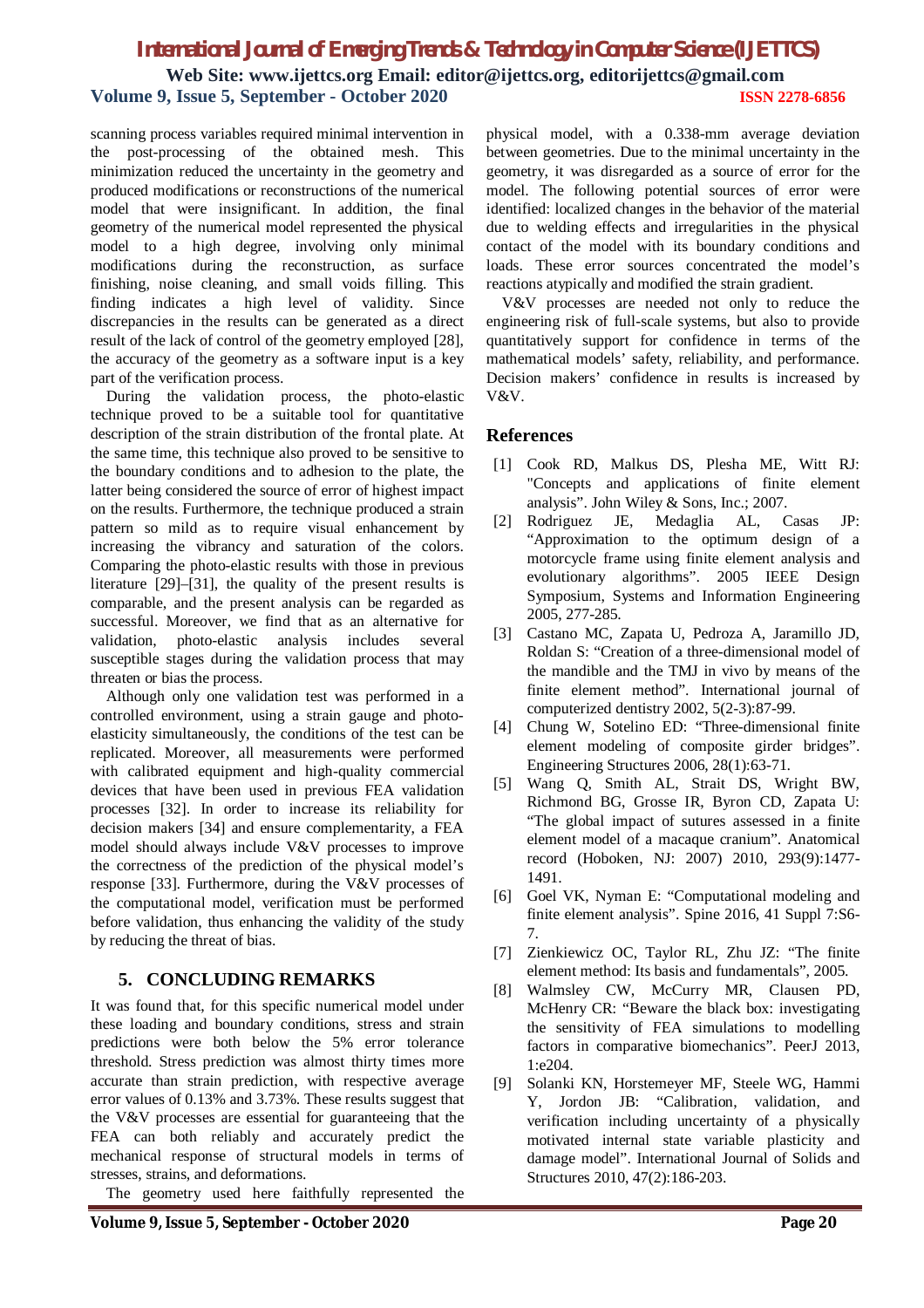scanning process variables required minimal intervention in the post-processing of the obtained mesh. This minimization reduced the uncertainty in the geometry and produced modifications or reconstructions of the numerical model that were insignificant. In addition, the final geometry of the numerical model represented the physical model to a high degree, involving only minimal modifications during the reconstruction, as surface finishing, noise cleaning, and small voids filling. This finding indicates a high level of validity. Since discrepancies in the results can be generated as a direct result of the lack of control of the geometry employed [28], the accuracy of the geometry as a software input is a key part of the verification process.

During the validation process, the photo-elastic technique proved to be a suitable tool for quantitative description of the strain distribution of the frontal plate. At the same time, this technique also proved to be sensitive to the boundary conditions and to adhesion to the plate, the latter being considered the source of error of highest impact on the results. Furthermore, the technique produced a strain pattern so mild as to require visual enhancement by increasing the vibrancy and saturation of the colors. Comparing the photo-elastic results with those in previous literature [29]–[31], the quality of the present results is comparable, and the present analysis can be regarded as successful. Moreover, we find that as an alternative for validation, photo-elastic analysis includes several susceptible stages during the validation process that may threaten or bias the process.

Although only one validation test was performed in a controlled environment, using a strain gauge and photoelasticity simultaneously, the conditions of the test can be replicated. Moreover, all measurements were performed with calibrated equipment and high-quality commercial devices that have been used in previous FEA validation processes [32]. In order to increase its reliability for decision makers [34] and ensure complementarity, a FEA model should always include V&V processes to improve the correctness of the prediction of the physical model's response [33]. Furthermore, during the V&V processes of the computational model, verification must be performed before validation, thus enhancing the validity of the study by reducing the threat of bias.

# **5. CONCLUDING REMARKS**

It was found that, for this specific numerical model under these loading and boundary conditions, stress and strain predictions were both below the 5% error tolerance threshold. Stress prediction was almost thirty times more accurate than strain prediction, with respective average error values of 0.13% and 3.73%. These results suggest that the V&V processes are essential for guaranteeing that the FEA can both reliably and accurately predict the mechanical response of structural models in terms of stresses, strains, and deformations.

The geometry used here faithfully represented the

physical model, with a 0.338-mm average deviation between geometries. Due to the minimal uncertainty in the geometry, it was disregarded as a source of error for the model. The following potential sources of error were identified: localized changes in the behavior of the material due to welding effects and irregularities in the physical contact of the model with its boundary conditions and loads. These error sources concentrated the model's reactions atypically and modified the strain gradient.

V&V processes are needed not only to reduce the engineering risk of full-scale systems, but also to provide quantitatively support for confidence in terms of the mathematical models' safety, reliability, and performance. Decision makers' confidence in results is increased by V&V.

### **References**

- [1] Cook RD, Malkus DS, Plesha ME, Witt RJ: "Concepts and applications of finite element analysis". John Wiley & Sons, Inc.; 2007.
- [2] Rodriguez JE, Medaglia AL, Casas JP: "Approximation to the optimum design of a motorcycle frame using finite element analysis and evolutionary algorithms". 2005 IEEE Design Symposium, Systems and Information Engineering 2005, 277-285.
- [3] Castano MC, Zapata U, Pedroza A, Jaramillo JD, Roldan S: "Creation of a three-dimensional model of the mandible and the TMJ in vivo by means of the finite element method". International journal of computerized dentistry 2002, 5(2-3):87-99.
- [4] Chung W, Sotelino ED: "Three-dimensional finite element modeling of composite girder bridges". Engineering Structures 2006, 28(1):63-71.
- [5] Wang Q, Smith AL, Strait DS, Wright BW, Richmond BG, Grosse IR, Byron CD, Zapata U: "The global impact of sutures assessed in a finite element model of a macaque cranium". Anatomical record (Hoboken, NJ: 2007) 2010, 293(9):1477- 1491.
- [6] Goel VK, Nyman E: "Computational modeling and finite element analysis". Spine 2016, 41 Suppl 7:S6- 7.
- [7] Zienkiewicz OC, Taylor RL, Zhu JZ: "The finite element method: Its basis and fundamentals", 2005.
- [8] Walmsley CW, McCurry MR, Clausen PD, McHenry CR: "Beware the black box: investigating the sensitivity of FEA simulations to modelling factors in comparative biomechanics". PeerJ 2013, 1:e204.
- [9] Solanki KN, Horstemeyer MF, Steele WG, Hammi Y, Jordon JB: "Calibration, validation, and verification including uncertainty of a physically motivated internal state variable plasticity and damage model". International Journal of Solids and Structures 2010, 47(2):186-203.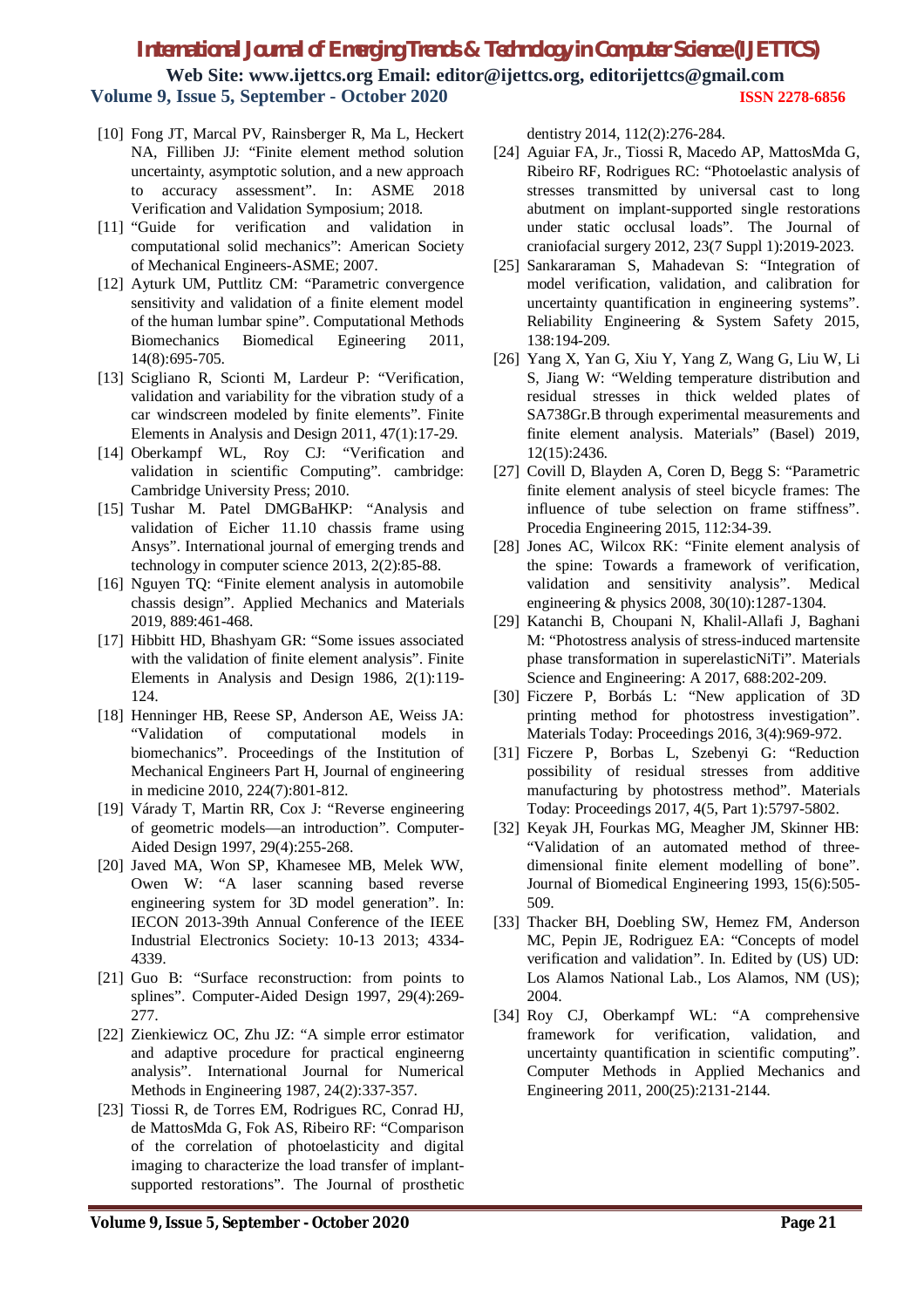- [10] Fong JT, Marcal PV, Rainsberger R, Ma L, Heckert NA, Filliben JJ: "Finite element method solution uncertainty, asymptotic solution, and a new approach to accuracy assessment". In: ASME 2018 Verification and Validation Symposium; 2018.
- [11] "Guide for verification and validation in computational solid mechanics": American Society of Mechanical Engineers-ASME; 2007.
- [12] Ayturk UM, Puttlitz CM: "Parametric convergence sensitivity and validation of a finite element model of the human lumbar spine". Computational Methods Biomechanics Biomedical Egineering 2011, 14(8):695-705.
- [13] Scigliano R, Scionti M, Lardeur P: "Verification, validation and variability for the vibration study of a car windscreen modeled by finite elements". Finite Elements in Analysis and Design 2011, 47(1):17-29.
- [14] Oberkampf WL, Roy CJ: "Verification and validation in scientific Computing". cambridge: Cambridge University Press; 2010.
- [15] Tushar M. Patel DMGBaHKP: "Analysis and validation of Eicher 11.10 chassis frame using Ansys". International journal of emerging trends and technology in computer science 2013, 2(2):85-88.
- [16] Nguyen TQ: "Finite element analysis in automobile chassis design". Applied Mechanics and Materials 2019, 889:461-468.
- [17] Hibbitt HD, Bhashyam GR: "Some issues associated with the validation of finite element analysis". Finite Elements in Analysis and Design 1986, 2(1):119- 124.
- [18] Henninger HB, Reese SP, Anderson AE, Weiss JA: "Validation of computational models in biomechanics". Proceedings of the Institution of Mechanical Engineers Part H, Journal of engineering in medicine 2010, 224(7):801-812.
- [19] Várady T, Martin RR, Cox J: "Reverse engineering of geometric models—an introduction". Computer-Aided Design 1997, 29(4):255-268.
- [20] Javed MA, Won SP, Khamesee MB, Melek WW, Owen W: "A laser scanning based reverse engineering system for 3D model generation". In: IECON 2013-39th Annual Conference of the IEEE Industrial Electronics Society: 10-13 2013; 4334- 4339.
- [21] Guo B: "Surface reconstruction: from points to splines". Computer-Aided Design 1997, 29(4):269- 277.
- [22] Zienkiewicz OC, Zhu JZ: "A simple error estimator and adaptive procedure for practical engineerng analysis". International Journal for Numerical Methods in Engineering 1987, 24(2):337-357.
- [23] Tiossi R, de Torres EM, Rodrigues RC, Conrad HJ, de MattosMda G, Fok AS, Ribeiro RF: "Comparison of the correlation of photoelasticity and digital imaging to characterize the load transfer of implantsupported restorations". The Journal of prosthetic

dentistry 2014, 112(2):276-284.

- [24] Aguiar FA, Jr., Tiossi R, Macedo AP, MattosMda G, Ribeiro RF, Rodrigues RC: "Photoelastic analysis of stresses transmitted by universal cast to long abutment on implant-supported single restorations under static occlusal loads". The Journal of craniofacial surgery 2012, 23(7 Suppl 1):2019-2023.
- [25] Sankararaman S, Mahadevan S: "Integration of model verification, validation, and calibration for uncertainty quantification in engineering systems". Reliability Engineering & System Safety 2015, 138:194-209.
- [26] Yang X, Yan G, Xiu Y, Yang Z, Wang G, Liu W, Li S, Jiang W: "Welding temperature distribution and residual stresses in thick welded plates of SA738Gr.B through experimental measurements and finite element analysis. Materials" (Basel) 2019, 12(15):2436.
- [27] Covill D, Blayden A, Coren D, Begg S: "Parametric finite element analysis of steel bicycle frames: The influence of tube selection on frame stiffness". Procedia Engineering 2015, 112:34-39.
- [28] Jones AC, Wilcox RK: "Finite element analysis of the spine: Towards a framework of verification, validation and sensitivity analysis". Medical engineering & physics 2008, 30(10):1287-1304.
- [29] Katanchi B, Choupani N, Khalil-Allafi J, Baghani M: "Photostress analysis of stress-induced martensite phase transformation in superelasticNiTi". Materials Science and Engineering: A 2017, 688:202-209.
- [30] Ficzere P, Borbás L: "New application of 3D printing method for photostress investigation". Materials Today: Proceedings 2016, 3(4):969-972.
- [31] Ficzere P, Borbas L, Szebenyi G: "Reduction possibility of residual stresses from additive manufacturing by photostress method". Materials Today: Proceedings 2017, 4(5, Part 1):5797-5802.
- [32] Keyak JH, Fourkas MG, Meagher JM, Skinner HB: "Validation of an automated method of threedimensional finite element modelling of bone". Journal of Biomedical Engineering 1993, 15(6):505- 509.
- [33] Thacker BH, Doebling SW, Hemez FM, Anderson MC, Pepin JE, Rodriguez EA: "Concepts of model verification and validation". In. Edited by (US) UD: Los Alamos National Lab., Los Alamos, NM (US); 2004.
- [34] Roy CJ, Oberkampf WL: "A comprehensive framework for verification, validation, and uncertainty quantification in scientific computing". Computer Methods in Applied Mechanics and Engineering 2011, 200(25):2131-2144.